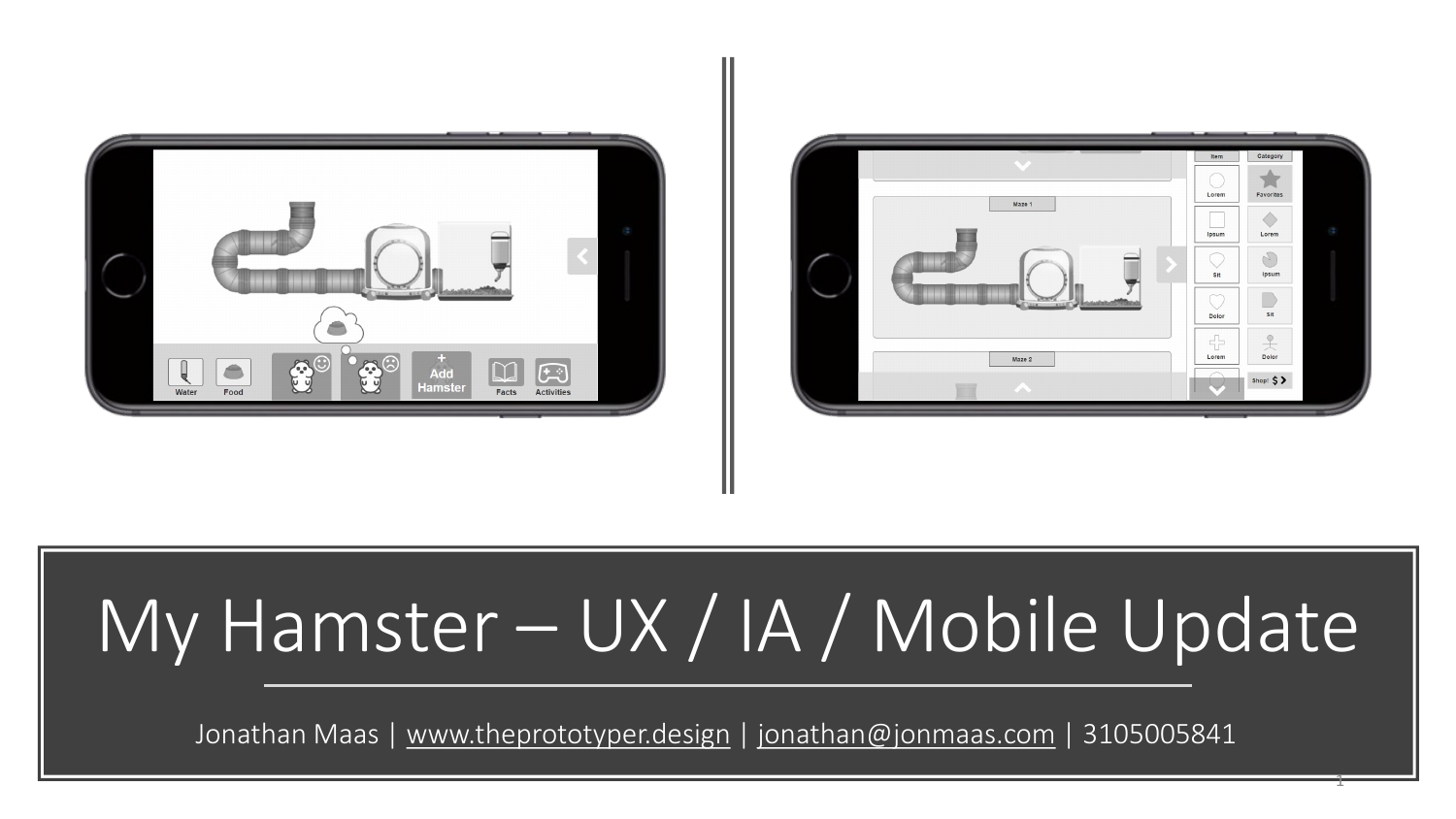



# My Hamster – UX / IA / Mobile Update

Jonathan Maas | [www.theprototyper.design](http://www.theprototyper.design/) | [jonathan@jonmaas.com](mailto:jonathan@jonmaas.com) | 3105005841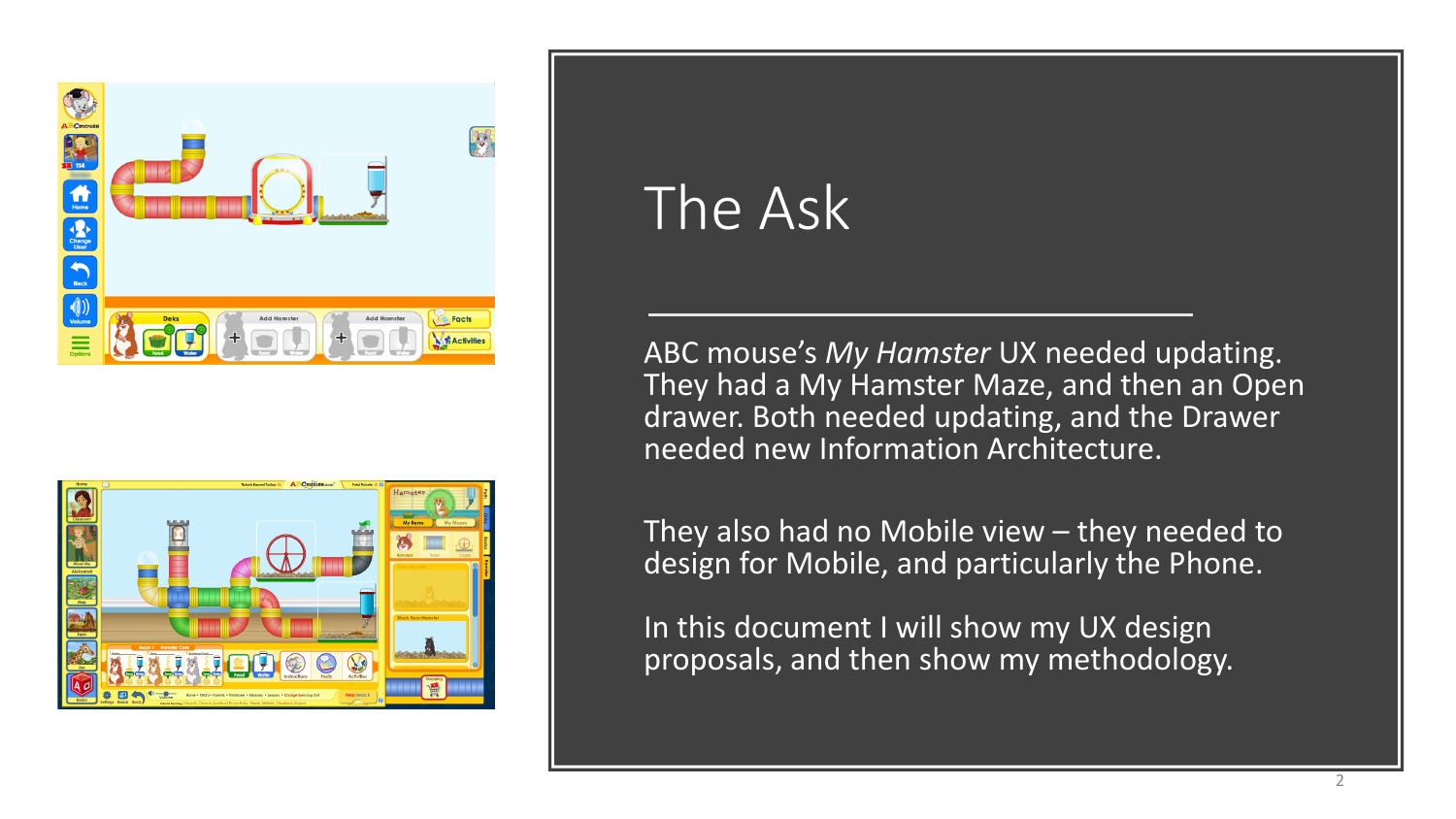



### The Ask

ABC mouse's *My Hamster* UX needed updating. They had a My Hamster Maze, and then an Open drawer. Both needed updating, and the Drawer needed new Information Architecture.

They also had no Mobile view – they needed to design for Mobile, and particularly the Phone.

In this document I will show my UX design proposals, and then show my methodology.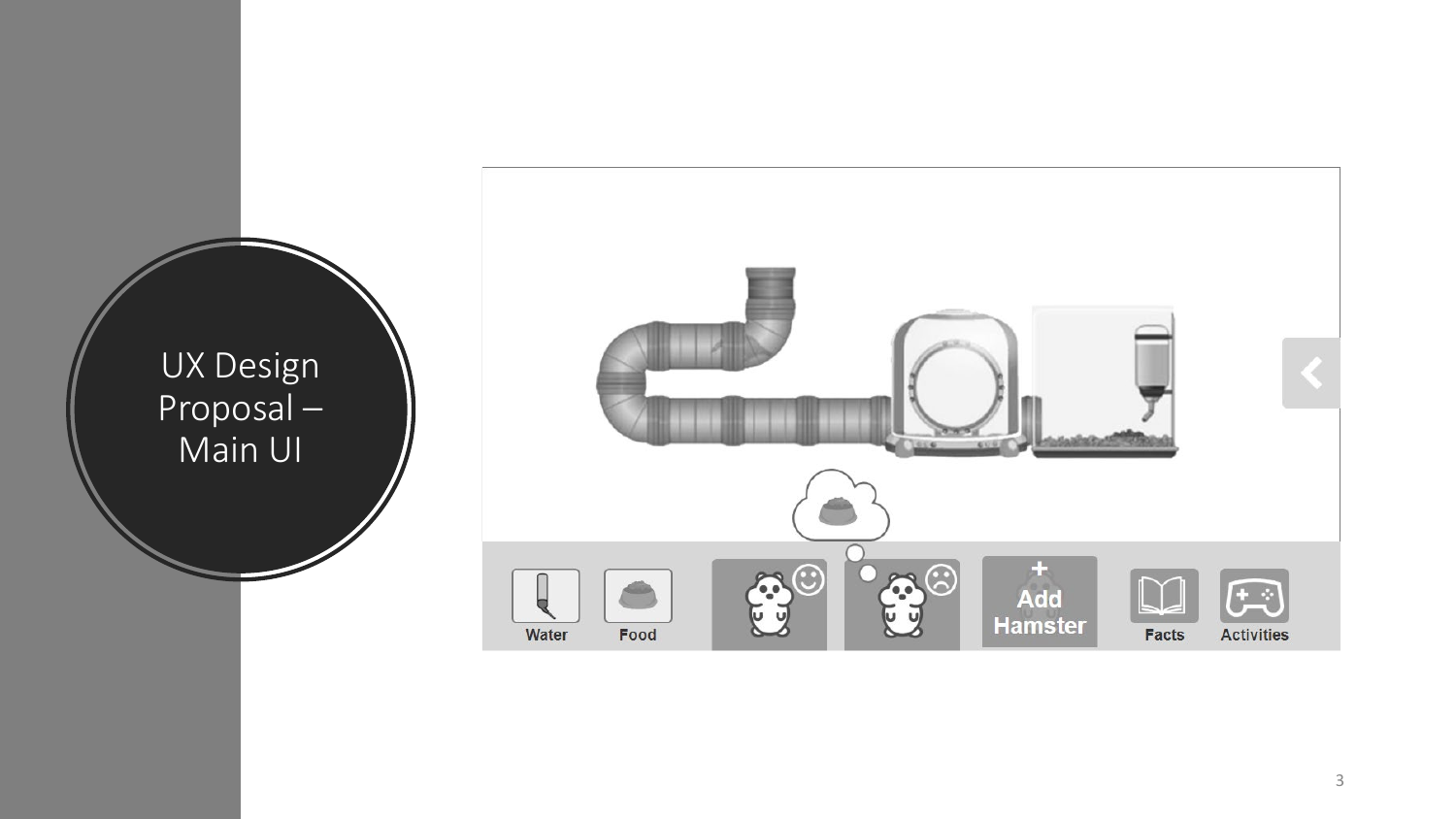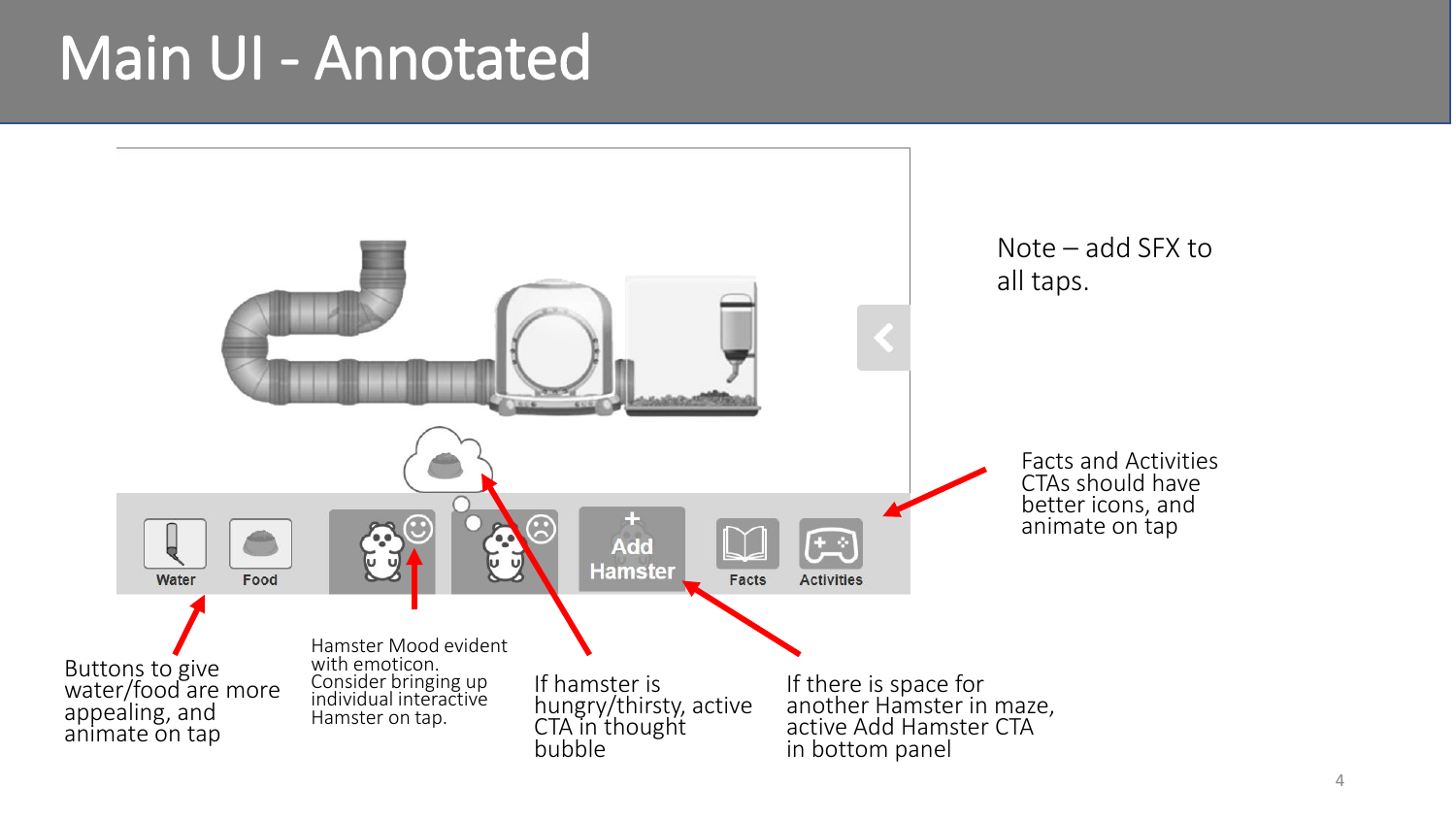#### Main UI - Annotated

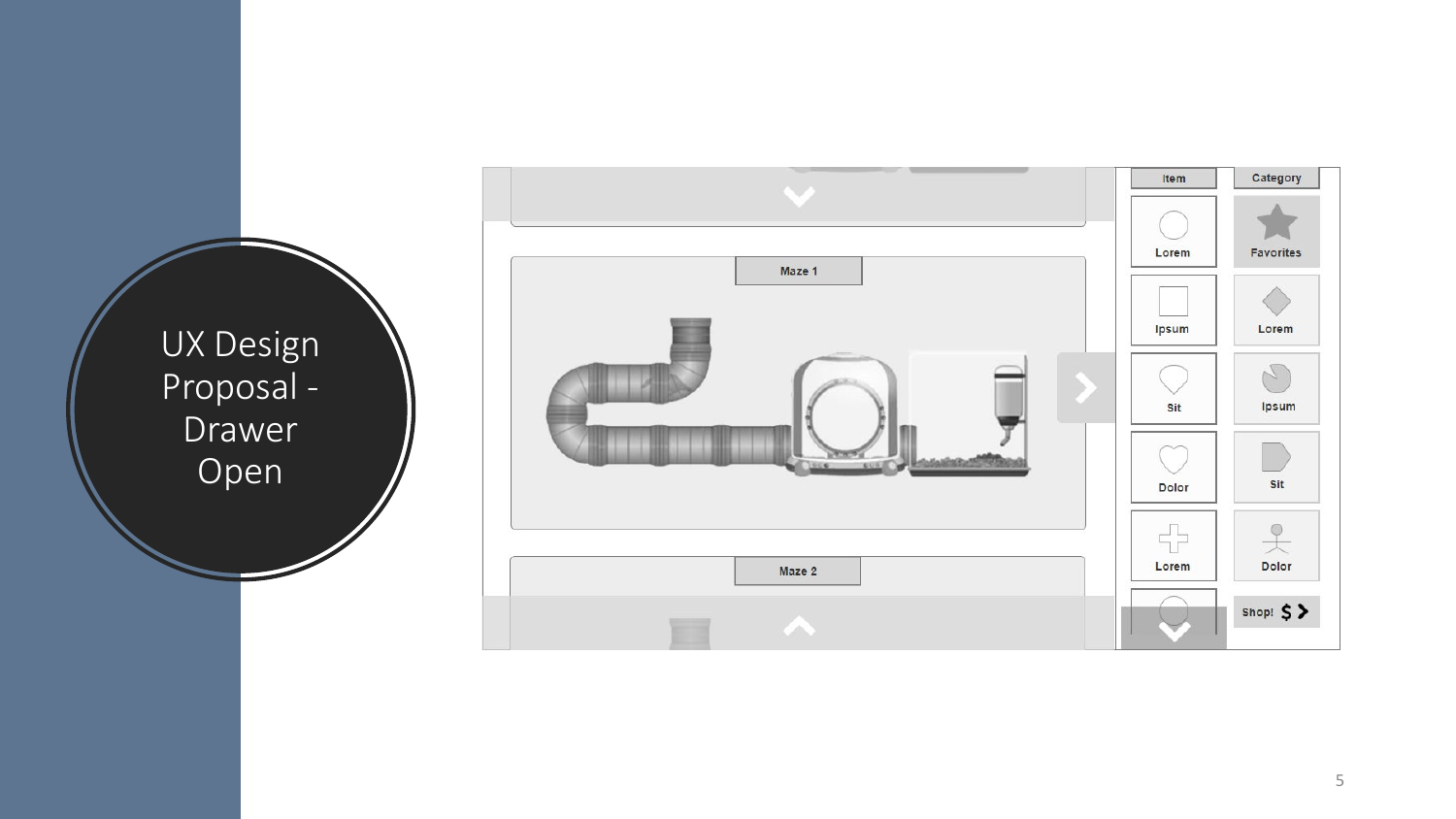UX Design Proposal - Drawer Open

![](_page_4_Figure_1.jpeg)

5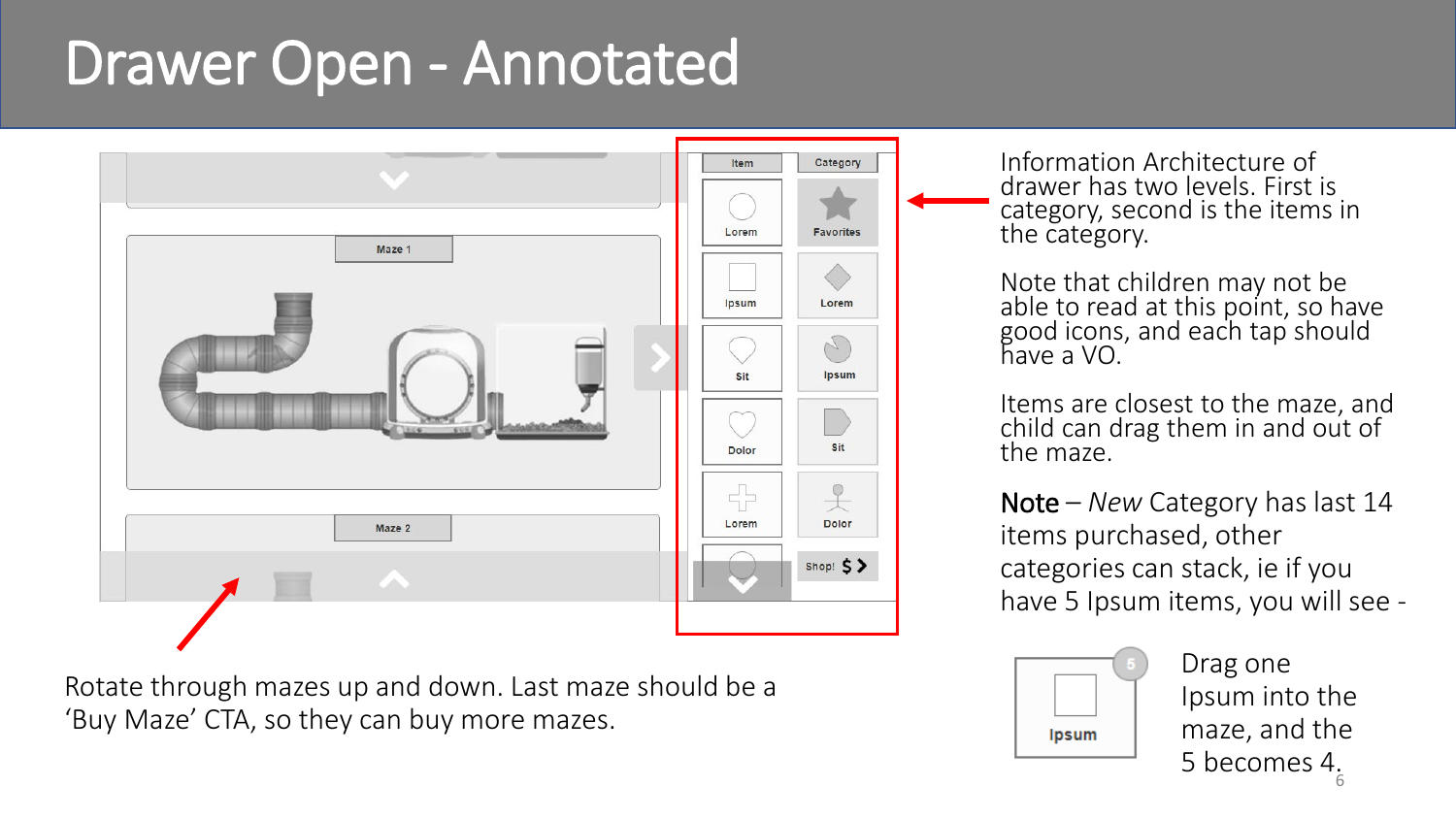### Drawer Open - Annotated

![](_page_5_Figure_1.jpeg)

Rotate through mazes up and down. Last maze should be a 'Buy Maze' CTA, so they can buy more mazes.

Information Architecture of drawer has two levels. First is category, second is the items in the category.

Note that children may not be able to read at this point, so have good icons, and each tap should have a VO.

Items are closest to the maze, and child can drag them in and out of the maze.

Note – *New* Category has last 14 items purchased, other categories can stack, ie if you have 5 Ipsum items, you will see -

![](_page_5_Picture_7.jpeg)

Drag one Ipsum into the maze, and the 5 becomes 4. 6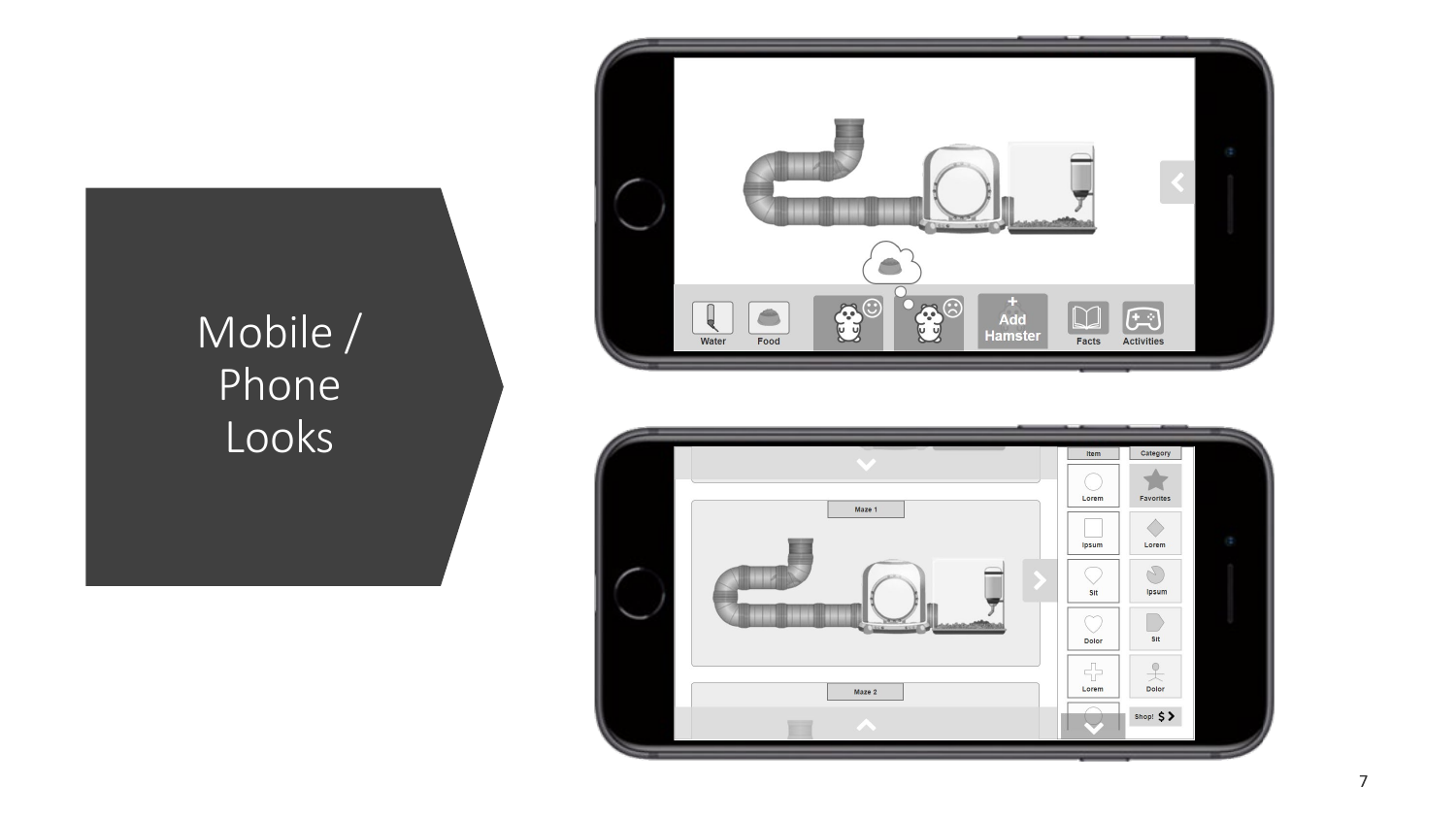#### Mobile / Phone Looks

![](_page_6_Picture_1.jpeg)

![](_page_6_Figure_2.jpeg)